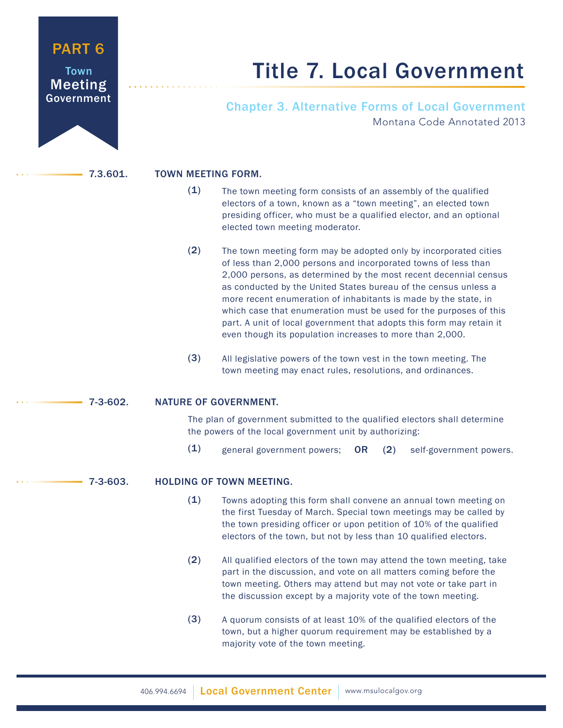# PART 6

Town Meeting Government

# Title 7. Local Government

# Chapter 3. Alternative Forms of Local Government Montana Code Annotated 2013

# 7.3.601. TOWN MEETING FORM.

- The town meeting form consists of an assembly of the qualified electors of a town, known as a "town meeting", an elected town presiding officer, who must be a qualified elector, and an optional elected town meeting moderator.  $(1)$
- The town meeting form may be adopted only by incorporated cities of less than 2,000 persons and incorporated towns of less than 2,000 persons, as determined by the most recent decennial census as conducted by the United States bureau of the census unless a more recent enumeration of inhabitants is made by the state, in which case that enumeration must be used for the purposes of this part. A unit of local government that adopts this form may retain it even though its population increases to more than 2,000. (2)
- All legislative powers of the town vest in the town meeting. The town meeting may enact rules, resolutions, and ordinances. (3)

# 7-3-602. NATURE OF GOVERNMENT.

The plan of government submitted to the qualified electors shall determine the powers of the local government unit by authorizing:

general government powers; OR (2) self-government powers.  $(1)$ 

# 7-3-603. HOLDING OF TOWN MEETING.

- Towns adopting this form shall convene an annual town meeting on the first Tuesday of March. Special town meetings may be called by the town presiding officer or upon petition of 10% of the qualified electors of the town, but not by less than 10 qualified electors.  $(1)$
- All qualified electors of the town may attend the town meeting, take part in the discussion, and vote on all matters coming before the town meeting. Others may attend but may not vote or take part in the discussion except by a majority vote of the town meeting. (2)
- A quorum consists of at least 10% of the qualified electors of the town, but a higher quorum requirement may be established by a majority vote of the town meeting. (3)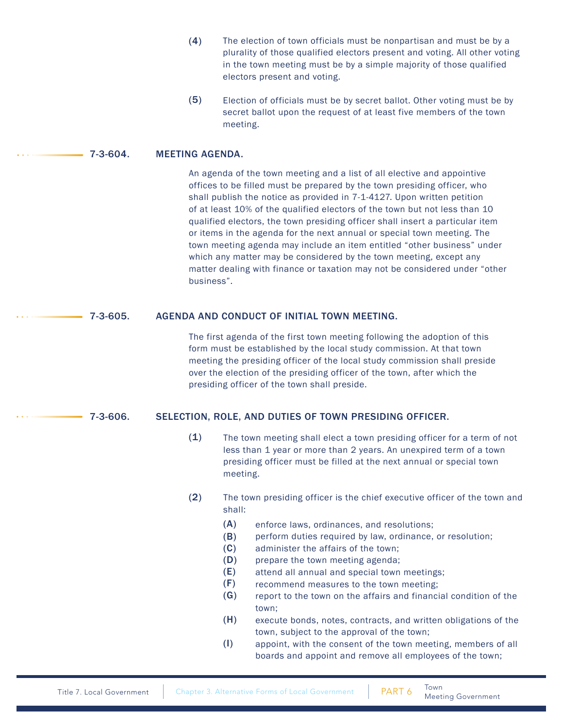- The election of town officials must be nonpartisan and must be by a plurality of those qualified electors present and voting. All other voting in the town meeting must be by a simple majority of those qualified electors present and voting. (4)
- Election of officials must be by secret ballot. Other voting must be by secret ballot upon the request of at least five members of the town meeting. (5)

### 7-3-604. MEETING AGENDA.

An agenda of the town meeting and a list of all elective and appointive offices to be filled must be prepared by the town presiding officer, who shall publish the notice as provided in 7-1-4127. Upon written petition of at least 10% of the qualified electors of the town but not less than 10 qualified electors, the town presiding officer shall insert a particular item or items in the agenda for the next annual or special town meeting. The town meeting agenda may include an item entitled "other business" under which any matter may be considered by the town meeting, except any matter dealing with finance or taxation may not be considered under "other business".

### 7-3-605. AGENDA AND CONDUCT OF INITIAL TOWN MEETING.

The first agenda of the first town meeting following the adoption of this form must be established by the local study commission. At that town meeting the presiding officer of the local study commission shall preside over the election of the presiding officer of the town, after which the presiding officer of the town shall preside.

# 7-3-606. SELECTION, ROLE, AND DUTIES OF TOWN PRESIDING OFFICER.

- The town meeting shall elect a town presiding officer for a term of not less than 1 year or more than 2 years. An unexpired term of a town presiding officer must be filled at the next annual or special town meeting.  $(1)$
- The town presiding officer is the chief executive officer of the town and shall: (2)
	- enforce laws, ordinances, and resolutions; (A)
	- perform duties required by law, ordinance, or resolution; (B)
	- administer the affairs of the town; (C)
	- prepare the town meeting agenda; (D)
	- attend all annual and special town meetings; (E)
	- recommend measures to the town meeting; (F)
	- report to the town on the affairs and financial condition of the town; (G)
	- execute bonds, notes, contracts, and written obligations of the town, subject to the approval of the town; (H)
	- appoint, with the consent of the town meeting, members of all boards and appoint and remove all employees of the town; (I)